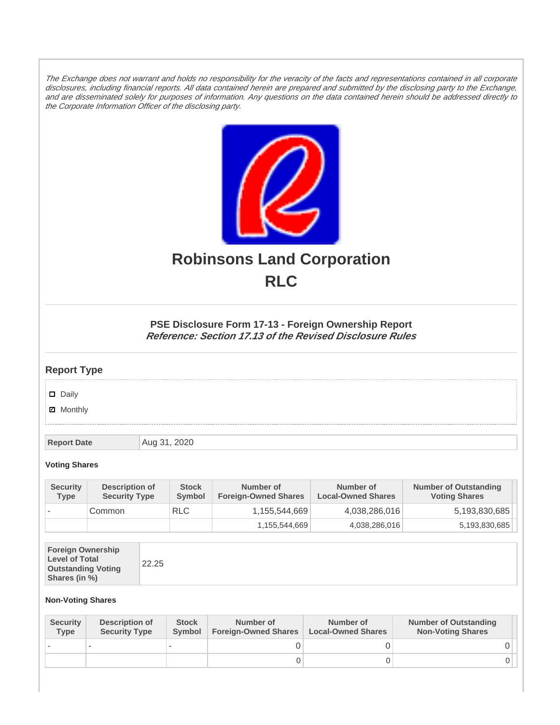The Exchange does not warrant and holds no responsibility for the veracity of the facts and representations contained in all corporate disclosures, including financial reports. All data contained herein are prepared and submitted by the disclosing party to the Exchange, and are disseminated solely for purposes of information. Any questions on the data contained herein should be addressed directly to the Corporate Information Officer of the disclosing party.



# **Robinsons Land Corporation RLC**

## **PSE Disclosure Form 17-13 - Foreign Ownership Report Reference: Section 17.13 of the Revised Disclosure Rules**

## **Report Type**

Daily

**Ø** Monthly

**Report Date Aug 31, 2020** 

#### **Voting Shares**

| <b>Security</b><br><b>Type</b> | <b>Description of</b><br><b>Security Type</b> | <b>Stock</b><br><b>Symbol</b> | Number of<br><b>Foreign-Owned Shares</b> | Number of<br><b>Local-Owned Shares</b> | <b>Number of Outstanding</b><br><b>Voting Shares</b> |
|--------------------------------|-----------------------------------------------|-------------------------------|------------------------------------------|----------------------------------------|------------------------------------------------------|
|                                | Common                                        | <b>RLC</b>                    | 1,155,544,669                            | 4,038,286,016                          | 5,193,830,685                                        |
|                                |                                               |                               | 1,155,544,669                            | 4,038,286,016                          | 5,193,830,685                                        |

| <b>Foreign Ownership</b><br><b>Level of Total</b><br><b>Outstanding Voting</b><br>Shares (in %) |
|-------------------------------------------------------------------------------------------------|
|-------------------------------------------------------------------------------------------------|

### **Non-Voting Shares**

| <b>Security</b><br><b>Type</b> | Description of<br><b>Security Type</b> | <b>Stock</b><br>Symbol | Number of<br><b>Foreign-Owned Shares</b> | Number of<br><b>Local-Owned Shares</b> | <b>Number of Outstanding</b><br><b>Non-Voting Shares</b> |
|--------------------------------|----------------------------------------|------------------------|------------------------------------------|----------------------------------------|----------------------------------------------------------|
|                                |                                        |                        |                                          |                                        |                                                          |
|                                |                                        |                        |                                          |                                        | 0 I                                                      |